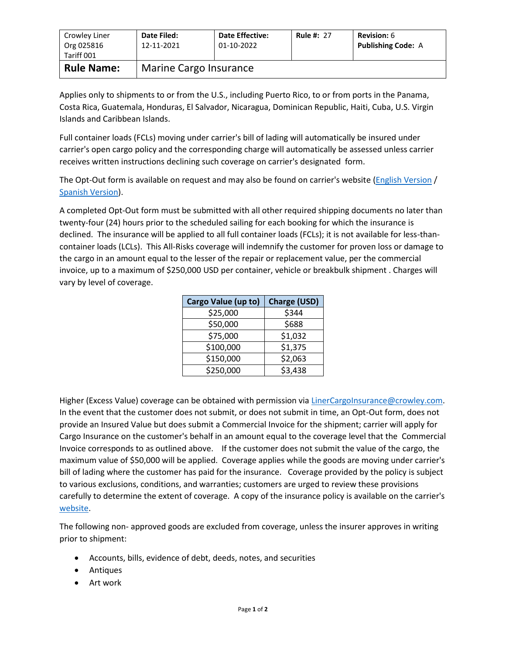| Crowley Liner<br>Org 025816<br>Tariff 001 | Date Filed:<br>12-11-2021 | <b>Date Effective:</b><br>01-10-2022 | <b>Rule #: 27</b> | <b>Revision: 6</b><br><b>Publishing Code: A</b> |  |
|-------------------------------------------|---------------------------|--------------------------------------|-------------------|-------------------------------------------------|--|
| <b>Rule Name:</b>                         | Marine Cargo Insurance    |                                      |                   |                                                 |  |

Applies only to shipments to or from the U.S., including Puerto Rico, to or from ports in the Panama, Costa Rica, Guatemala, Honduras, El Salvador, Nicaragua, Dominican Republic, Haiti, Cuba, U.S. Virgin Islands and Caribbean Islands.

Full container loads (FCLs) moving under carrier's bill of lading will automatically be insured under carrier's open cargo policy and the corresponding charge will automatically be assessed unless carrier receives written instructions declining such coverage on carrier's designated form.

The Opt-Out form is available on request and may also be found on carrier's website [\(English Version](http://www.crowley.com/content/download/31386/232069/version/1/file/Cargo+Insurance+Opt-Out+UPDATED+-+ENGLISH.PDF) / [Spanish Version\)](http://www.crowley.com/content/download/31385/232065/version/1/file/Formulario+de++Rechazo+de+Seguro+de+Carga+REVISADO.PDF).

A completed Opt-Out form must be submitted with all other required shipping documents no later than twenty-four (24) hours prior to the scheduled sailing for each booking for which the insurance is declined. The insurance will be applied to all full container loads (FCLs); it is not available for less-thancontainer loads (LCLs). This All-Risks coverage will indemnify the customer for proven loss or damage to the cargo in an amount equal to the lesser of the repair or replacement value, per the commercial invoice, up to a maximum of \$250,000 USD per container, vehicle or breakbulk shipment . Charges will vary by level of coverage.

| Cargo Value (up to) | <b>Charge (USD)</b> |  |
|---------------------|---------------------|--|
| \$25,000            | \$344               |  |
| \$50,000            | \$688               |  |
| \$75,000            | \$1,032             |  |
| \$100,000           | \$1,375             |  |
| \$150,000           | \$2,063             |  |
| \$250,000           | \$3,438             |  |

Higher (Excess Value) coverage can be obtained with permission vi[a LinerCargoInsurance@crowley.com.](mailto:LinerCargoInsurance@crowley.com) In the event that the customer does not submit, or does not submit in time, an Opt-Out form, does not provide an Insured Value but does submit a Commercial Invoice for the shipment; carrier will apply for Cargo Insurance on the customer's behalf in an amount equal to the coverage level that the Commercial Invoice corresponds to as outlined above. If the customer does not submit the value of the cargo, the maximum value of \$50,000 will be applied. Coverage applies while the goods are moving under carrier's bill of lading where the customer has paid for the insurance. Coverage provided by the policy is subject to various exclusions, conditions, and warranties; customers are urged to review these provisions carefully to determine the extent of coverage. A copy of the insurance policy is available on the carrier's [website.](http://www.crowley.com/content/download/17988/122094/version/1/file/Caribbean+Cargo+Insurance+Policy.pdf)

The following non- approved goods are excluded from coverage, unless the insurer approves in writing prior to shipment:

- Accounts, bills, evidence of debt, deeds, notes, and securities
- Antiques
- Art work